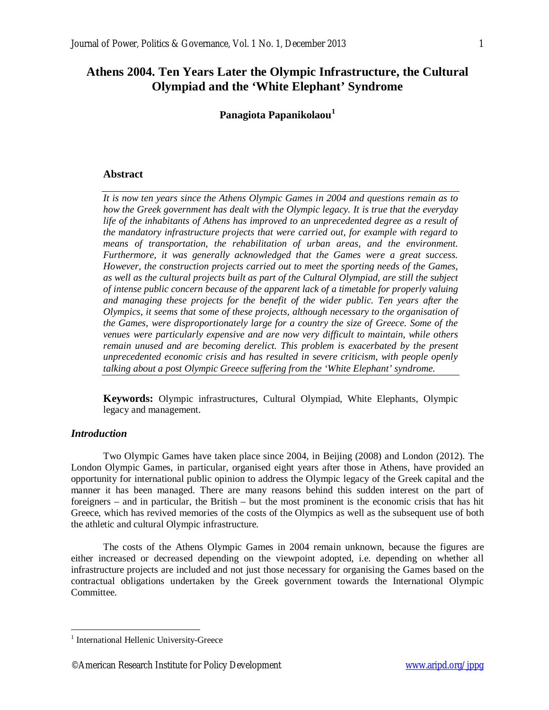# **Athens 2004. Ten Years Later the Olympic Infrastructure, the Cultural Olympiad and the 'White Elephant' Syndrome**

**Panagiota Papanikolaou<sup>1</sup>**

# **Abstract**

*It is now ten years since the Athens Olympic Games in 2004 and questions remain as to how the Greek government has dealt with the Olympic legacy. It is true that the everyday life of the inhabitants of Athens has improved to an unprecedented degree as a result of the mandatory infrastructure projects that were carried out, for example with regard to means of transportation, the rehabilitation of urban areas, and the environment. Furthermore, it was generally acknowledged that the Games were a great success. However, the construction projects carried out to meet the sporting needs of the Games, as well as the cultural projects built as part of the Cultural Olympiad, are still the subject of intense public concern because of the apparent lack of a timetable for properly valuing and managing these projects for the benefit of the wider public. Ten years after the Olympics, it seems that some of these projects, although necessary to the organisation of the Games, were disproportionately large for a country the size of Greece. Some of the venues were particularly expensive and are now very difficult to maintain, while others remain unused and are becoming derelict. This problem is exacerbated by the present unprecedented economic crisis and has resulted in severe criticism, with people openly talking about a post Olympic Greece suffering from the 'White Elephant' syndrome.*

**Keywords:** Olympic infrastructures, Cultural Olympiad, White Elephants, Olympic legacy and management.

# *Introduction*

 $\overline{a}$ 

Two Olympic Games have taken place since 2004, in Beijing (2008) and London (2012). The London Olympic Games, in particular, organised eight years after those in Athens, have provided an opportunity for international public opinion to address the Olympic legacy of the Greek capital and the manner it has been managed. There are many reasons behind this sudden interest on the part of foreigners – and in particular, the British – but the most prominent is the economic crisis that has hit Greece, which has revived memories of the costs of the Olympics as well as the subsequent use of both the athletic and cultural Olympic infrastructure.

The costs of the Athens Olympic Games in 2004 remain unknown, because the figures are either increased or decreased depending on the viewpoint adopted, i.e. depending on whether all infrastructure projects are included and not just those necessary for organising the Games based on the contractual obligations undertaken by the Greek government towards the International Olympic Committee.

<sup>&</sup>lt;sup>1</sup> International Hellenic University-Greece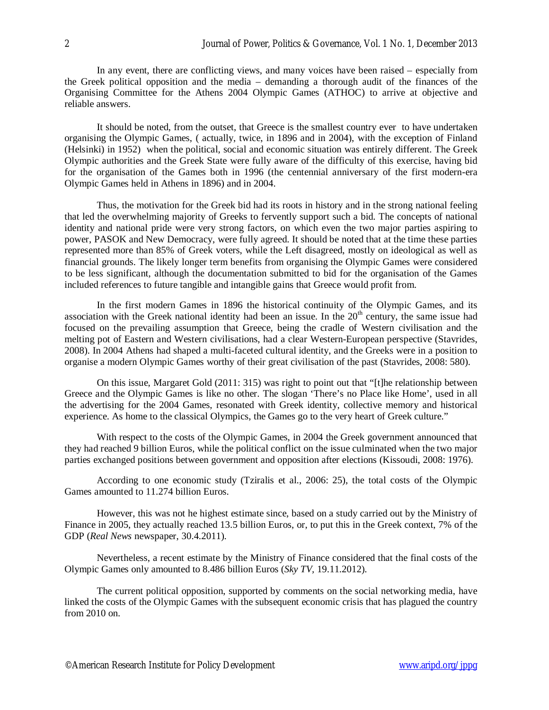In any event, there are conflicting views, and many voices have been raised – especially from the Greek political opposition and the media – demanding a thorough audit of the finances of the Organising Committee for the Athens 2004 Olympic Games (ATHOC) to arrive at objective and reliable answers.

It should be noted, from the outset, that Greece is the smallest country ever to have undertaken organising the Olympic Games, ( actually, twice, in 1896 and in 2004), with the exception of Finland (Helsinki) in 1952) when the political, social and economic situation was entirely different. The Greek Olympic authorities and the Greek State were fully aware of the difficulty of this exercise, having bid for the organisation of the Games both in 1996 (the centennial anniversary of the first modern-era Olympic Games held in Athens in 1896) and in 2004.

Thus, the motivation for the Greek bid had its roots in history and in the strong national feeling that led the overwhelming majority of Greeks to fervently support such a bid. The concepts of national identity and national pride were very strong factors, on which even the two major parties aspiring to power, PASOK and New Democracy, were fully agreed. It should be noted that at the time these parties represented more than 85% of Greek voters, while the Left disagreed, mostly on ideological as well as financial grounds. The likely longer term benefits from organising the Olympic Games were considered to be less significant, although the documentation submitted to bid for the organisation of the Games included references to future tangible and intangible gains that Greece would profit from.

In the first modern Games in 1896 the historical continuity of the Olympic Games, and its association with the Greek national identity had been an issue. In the  $20<sup>th</sup>$  century, the same issue had focused on the prevailing assumption that Greece, being the cradle of Western civilisation and the melting pot of Eastern and Western civilisations, had a clear Western-European perspective (Stavrides, 2008). In 2004 Athens had shaped a multi-faceted cultural identity, and the Greeks were in a position to organise a modern Olympic Games worthy of their great civilisation of the past (Stavrides, 2008: 580).

On this issue, Margaret Gold (2011: 315) was right to point out that "[t]he relationship between Greece and the Olympic Games is like no other. The slogan 'There's no Place like Home', used in all the advertising for the 2004 Games, resonated with Greek identity, collective memory and historical experience. As home to the classical Olympics, the Games go to the very heart of Greek culture."

With respect to the costs of the Olympic Games, in 2004 the Greek government announced that they had reached 9 billion Euros, while the political conflict on the issue culminated when the two major parties exchanged positions between government and opposition after elections (Kissoudi, 2008: 1976).

According to one economic study (Tziralis et al., 2006: 25), the total costs of the Olympic Games amounted to 11.274 billion Euros.

However, this was not he highest estimate since, based on a study carried out by the Ministry of Finance in 2005, they actually reached 13.5 billion Euros, or, to put this in the Greek context, 7% of the GDP (*Real News* newspaper, 30.4.2011).

Nevertheless, a recent estimate by the Ministry of Finance considered that the final costs of the Olympic Games only amounted to 8.486 billion Euros (*Sky TV,* 19.11.2012).

The current political opposition, supported by comments on the social networking media, have linked the costs of the Olympic Games with the subsequent economic crisis that has plagued the country from 2010 on.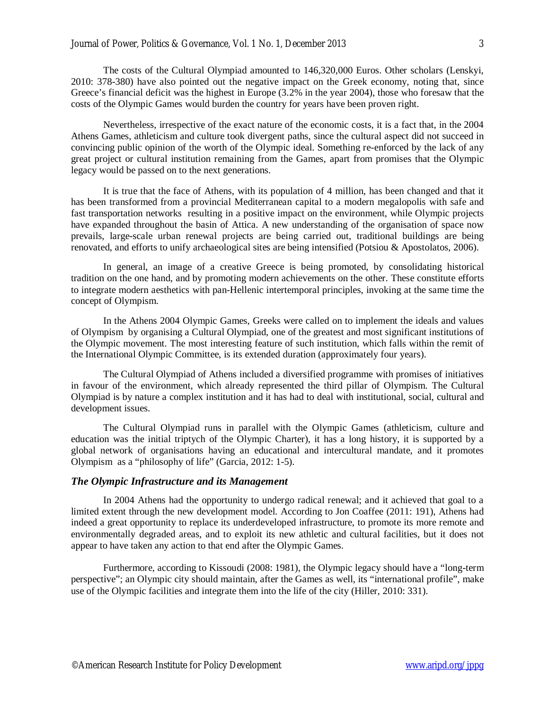The costs of the Cultural Olympiad amounted to 146,320,000 Euros. Other scholars (Lenskyi, 2010: 378-380) have also pointed out the negative impact on the Greek economy, noting that, since Greece's financial deficit was the highest in Europe (3.2% in the year 2004), those who foresaw that the costs of the Olympic Games would burden the country for years have been proven right.

Nevertheless, irrespective of the exact nature of the economic costs, it is a fact that, in the 2004 Athens Games, athleticism and culture took divergent paths, since the cultural aspect did not succeed in convincing public opinion of the worth of the Olympic ideal. Something re-enforced by the lack of any great project or cultural institution remaining from the Games, apart from promises that the Olympic legacy would be passed on to the next generations.

It is true that the face of Athens, with its population of 4 million, has been changed and that it has been transformed from a provincial Mediterranean capital to a modern megalopolis with safe and fast transportation networks resulting in a positive impact on the environment, while Olympic projects have expanded throughout the basin of Attica. A new understanding of the organisation of space now prevails, large-scale urban renewal projects are being carried out, traditional buildings are being renovated, and efforts to unify archaeological sites are being intensified (Potsiou & Apostolatos, 2006).

In general, an image of a creative Greece is being promoted, by consolidating historical tradition on the one hand, and by promoting modern achievements on the other. These constitute efforts to integrate modern aesthetics with pan-Hellenic intertemporal principles, invoking at the same time the concept of Olympism.

In the Athens 2004 Olympic Games, Greeks were called on to implement the ideals and values of Olympism by organising a Cultural Olympiad, one of the greatest and most significant institutions of the Olympic movement. The most interesting feature of such institution, which falls within the remit of the International Olympic Committee, is its extended duration (approximately four years).

The Cultural Olympiad of Athens included a diversified programme with promises of initiatives in favour of the environment, which already represented the third pillar of Olympism. The Cultural Olympiad is by nature a complex institution and it has had to deal with institutional, social, cultural and development issues.

The Cultural Olympiad runs in parallel with the Olympic Games (athleticism, culture and education was the initial triptych of the Olympic Charter), it has a long history, it is supported by a global network of organisations having an educational and intercultural mandate, and it promotes Olympism as a "philosophy of life" (Garcia, 2012: 1-5).

### *The Olympic Infrastructure and its Management*

In 2004 Athens had the opportunity to undergo radical renewal; and it achieved that goal to a limited extent through the new development model. According to Jon Coaffee (2011: 191), Athens had indeed a great opportunity to replace its underdeveloped infrastructure, to promote its more remote and environmentally degraded areas, and to exploit its new athletic and cultural facilities, but it does not appear to have taken any action to that end after the Olympic Games.

Furthermore, according to Kissoudi (2008: 1981), the Olympic legacy should have a "long-term perspective"; an Olympic city should maintain, after the Games as well, its "international profile", make use of the Olympic facilities and integrate them into the life of the city (Hiller, 2010: 331).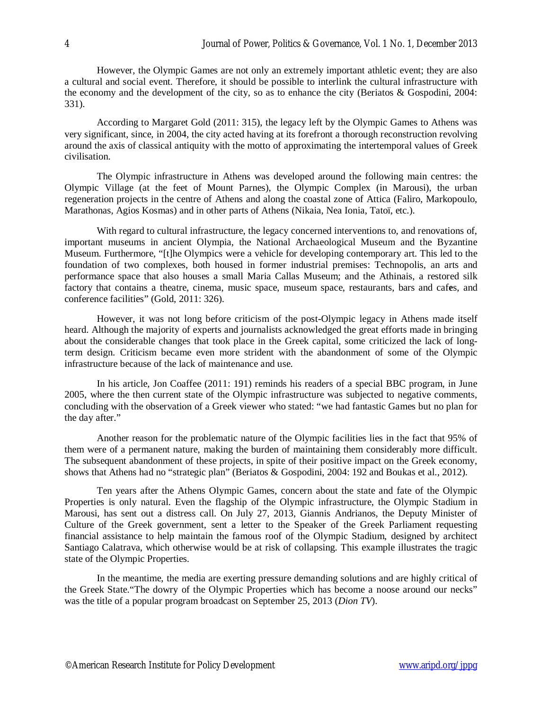However, the Olympic Games are not only an extremely important athletic event; they are also a cultural and social event. Therefore, it should be possible to interlink the cultural infrastructure with the economy and the development of the city, so as to enhance the city (Beriatos & Gospodini, 2004: 331).

According to Margaret Gold (2011: 315), the legacy left by the Olympic Games to Athens was very significant, since, in 2004, the city acted having at its forefront a thorough reconstruction revolving around the axis of classical antiquity with the motto of approximating the intertemporal values of Greek civilisation.

The Olympic infrastructure in Athens was developed around the following main centres: the Olympic Village (at the feet of Mount Parnes), the Olympic Complex (in Marousi), the urban regeneration projects in the centre of Athens and along the coastal zone of Attica (Faliro, Markopoulo, Marathonas, Agios Kosmas) and in other parts of Athens (Nikaia, Nea Ionia, Tatoï, etc.).

With regard to cultural infrastructure, the legacy concerned interventions to, and renovations of, important museums in ancient Olympia, the National Archaeological Museum and the Byzantine Museum. Furthermore, "[t]he Olympics were a vehicle for developing contemporary art. This led to the foundation of two complexes, both housed in former industrial premises: Technopolis, an arts and performance space that also houses a small Maria Callas Museum; and the Athinais, a restored silk factory that contains a theatre, cinema, music space, museum space, restaurants, bars and caf**e**s, and conference facilities" (Gold, 2011: 326).

However, it was not long before criticism of the post-Olympic legacy in Athens made itself heard. Although the majority of experts and journalists acknowledged the great efforts made in bringing about the considerable changes that took place in the Greek capital, some criticized the lack of longterm design. Criticism became even more strident with the abandonment of some of the Olympic infrastructure because of the lack of maintenance and use.

In his article, Jon Coaffee (2011: 191) reminds his readers of a special BBC program, in June 2005, where the then current state of the Olympic infrastructure was subjected to negative comments, concluding with the observation of a Greek viewer who stated: "we had fantastic Games but no plan for the day after."

Another reason for the problematic nature of the Olympic facilities lies in the fact that 95% of them were of a permanent nature, making the burden of maintaining them considerably more difficult. The subsequent abandonment of these projects, in spite of their positive impact on the Greek economy, shows that Athens had no "strategic plan" (Beriatos & Gospodini, 2004: 192 and Boukas et al., 2012).

Ten years after the Athens Olympic Games, concern about the state and fate of the Olympic Properties is only natural. Even the flagship of the Olympic infrastructure, the Olympic Stadium in Marousi, has sent out a distress call. On July 27, 2013, Giannis Andrianos, the Deputy Minister of Culture of the Greek government, sent a letter to the Speaker of the Greek Parliament requesting financial assistance to help maintain the famous roof of the Olympic Stadium, designed by architect Santiago Calatrava, which otherwise would be at risk of collapsing. This example illustrates the tragic state of the Olympic Properties.

In the meantime, the media are exerting pressure demanding solutions and are highly critical of the Greek State."The dowry of the Olympic Properties which has become a noose around our necks" was the title of a popular program broadcast on September 25, 2013 (*Dion TV*).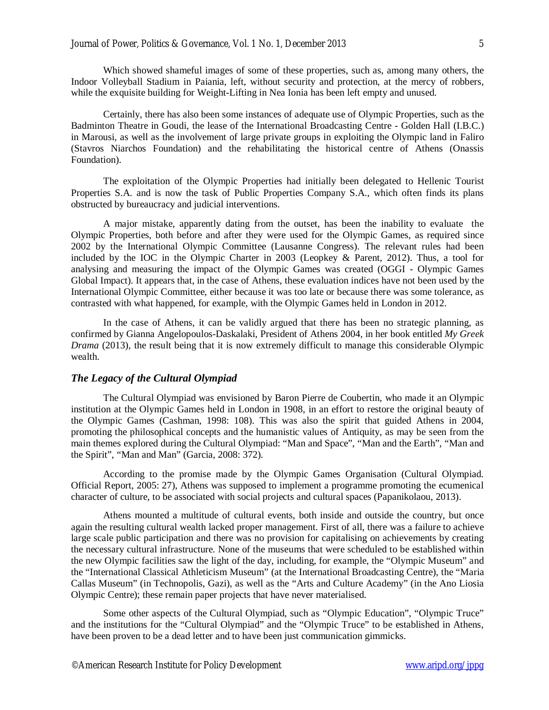Which showed shameful images of some of these properties, such as, among many others, the Indoor Volleyball Stadium in Paiania, left, without security and protection, at the mercy of robbers, while the exquisite building for Weight-Lifting in Nea Ionia has been left empty and unused.

Certainly, there has also been some instances of adequate use of Olympic Properties, such as the Badminton Theatre in Goudi, the lease of the International Broadcasting Centre - Golden Hall (I.B.C.) in Marousi, as well as the involvement of large private groups in exploiting the Olympic land in Faliro (Stavros Niarchos Foundation) and the rehabilitating the historical centre of Athens (Onassis Foundation).

The exploitation of the Olympic Properties had initially been delegated to Hellenic Tourist Properties S.A. and is now the task of Public Properties Company S.A., which often finds its plans obstructed by bureaucracy and judicial interventions.

A major mistake, apparently dating from the outset, has been the inability to evaluate the Olympic Properties, both before and after they were used for the Olympic Games, as required since 2002 by the International Olympic Committee (Lausanne Congress). The relevant rules had been included by the IOC in the Olympic Charter in 2003 (Leopkey & Parent, 2012). Thus, a tool for analysing and measuring the impact of the Olympic Games was created (OGGI - Olympic Games Global Impact). It appears that, in the case of Athens, these evaluation indices have not been used by the International Olympic Committee, either because it was too late or because there was some tolerance, as contrasted with what happened, for example, with the Olympic Games held in London in 2012.

In the case of Athens, it can be validly argued that there has been no strategic planning, as confirmed by Gianna Angelopoulos-Daskalaki, President of Athens 2004, in her book entitled *My Greek Drama* (2013), the result being that it is now extremely difficult to manage this considerable Olympic wealth.

#### *The Legacy of the Cultural Olympiad*

The Cultural Olympiad was envisioned by Baron Pierre de Coubertin, who made it an Olympic institution at the Olympic Games held in London in 1908, in an effort to restore the original beauty of the Olympic Games (Cashman, 1998: 108). This was also the spirit that guided Athens in 2004, promoting the philosophical concepts and the humanistic values of Antiquity, as may be seen from the main themes explored during the Cultural Olympiad: "Man and Space", "Man and the Earth", "Man and the Spirit", "Man and Man" (Garcia, 2008: 372).

According to the promise made by the Olympic Games Organisation (Cultural Olympiad. Official Report, 2005: 27), Athens was supposed to implement a programme promoting the ecumenical character of culture, to be associated with social projects and cultural spaces (Papanikolaou, 2013).

Athens mounted a multitude of cultural events, both inside and outside the country, but once again the resulting cultural wealth lacked proper management. First of all, there was a failure to achieve large scale public participation and there was no provision for capitalising on achievements by creating the necessary cultural infrastructure. None of the museums that were scheduled to be established within the new Olympic facilities saw the light of the day, including, for example, the "Olympic Museum" and the "International Classical Athleticism Museum" (at the International Broadcasting Centre), the "Maria Callas Museum" (in Technopolis, Gazi), as well as the "Arts and Culture Academy" (in the Ano Liosia Olympic Centre); these remain paper projects that have never materialised.

Some other aspects of the Cultural Olympiad, such as "Olympic Education", "Olympic Truce" and the institutions for the "Cultural Olympiad" and the "Olympic Truce" to be established in Athens, have been proven to be a dead letter and to have been just communication gimmicks.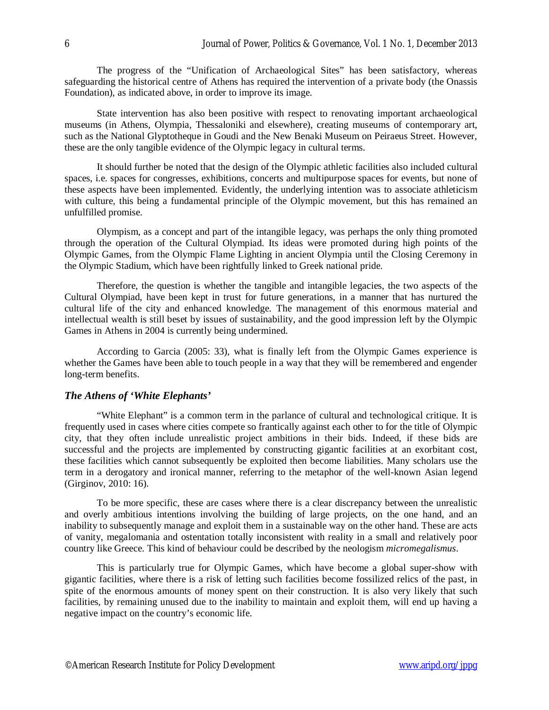The progress of the "Unification of Archaeological Sites" has been satisfactory, whereas safeguarding the historical centre of Athens has required the intervention of a private body (the Onassis Foundation), as indicated above, in order to improve its image.

State intervention has also been positive with respect to renovating important archaeological museums (in Athens, Olympia, Thessaloniki and elsewhere), creating museums of contemporary art, such as the National Glyptotheque in Goudi and the New Benaki Museum on Peiraeus Street. However, these are the only tangible evidence of the Olympic legacy in cultural terms.

It should further be noted that the design of the Olympic athletic facilities also included cultural spaces, i.e. spaces for congresses, exhibitions, concerts and multipurpose spaces for events, but none of these aspects have been implemented. Evidently, the underlying intention was to associate athleticism with culture, this being a fundamental principle of the Olympic movement, but this has remained an unfulfilled promise.

Olympism, as a concept and part of the intangible legacy, was perhaps the only thing promoted through the operation of the Cultural Olympiad. Its ideas were promoted during high points of the Olympic Games, from the Olympic Flame Lighting in ancient Olympia until the Closing Ceremony in the Olympic Stadium, which have been rightfully linked to Greek national pride.

Therefore, the question is whether the tangible and intangible legacies, the two aspects of the Cultural Olympiad, have been kept in trust for future generations, in a manner that has nurtured the cultural life of the city and enhanced knowledge. The management of this enormous material and intellectual wealth is still beset by issues of sustainability, and the good impression left by the Olympic Games in Athens in 2004 is currently being undermined.

According to Garcia (2005: 33), what is finally left from the Olympic Games experience is whether the Games have been able to touch people in a way that they will be remembered and engender long-term benefits.

# *The Athens of 'White Elephants'*

"White Elephant" is a common term in the parlance of cultural and technological critique. It is frequently used in cases where cities compete so frantically against each other to for the title of Olympic city, that they often include unrealistic project ambitions in their bids. Indeed, if these bids are successful and the projects are implemented by constructing gigantic facilities at an exorbitant cost, these facilities which cannot subsequently be exploited then become liabilities. Many scholars use the term in a derogatory and ironical manner, referring to the metaphor of the well-known Asian legend (Girginov, 2010: 16).

To be more specific, these are cases where there is a clear discrepancy between the unrealistic and overly ambitious intentions involving the building of large projects, on the one hand, and an inability to subsequently manage and exploit them in a sustainable way on the other hand. These are acts of vanity, megalomania and ostentation totally inconsistent with reality in a small and relatively poor country like Greece. This kind of behaviour could be described by the neologism *micromegalismus*.

This is particularly true for Olympic Games, which have become a global super-show with gigantic facilities, where there is a risk of letting such facilities become fossilized relics of the past, in spite of the enormous amounts of money spent on their construction. It is also very likely that such facilities, by remaining unused due to the inability to maintain and exploit them, will end up having a negative impact on the country's economic life.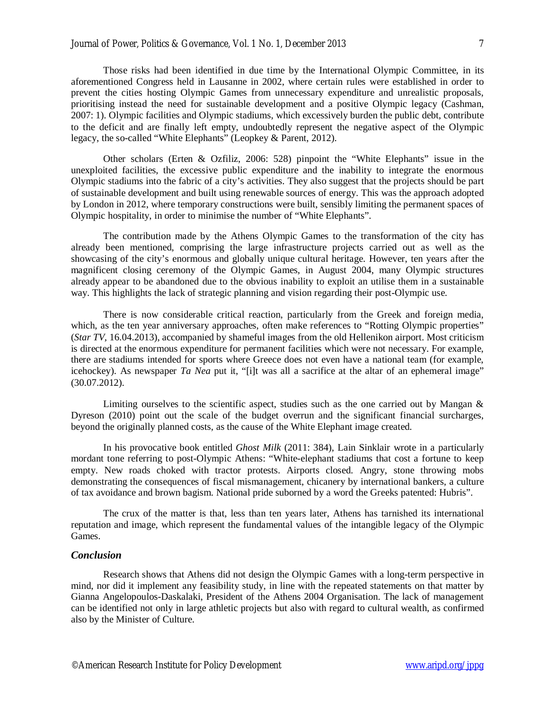Those risks had been identified in due time by the International Olympic Committee, in its aforementioned Congress held in Lausanne in 2002, where certain rules were established in order to prevent the cities hosting Olympic Games from unnecessary expenditure and unrealistic proposals, prioritising instead the need for sustainable development and a positive Olympic legacy (Cashman, 2007: 1). Olympic facilities and Olympic stadiums, which excessively burden the public debt, contribute to the deficit and are finally left empty, undoubtedly represent the negative aspect of the Olympic legacy, the so-called "White Elephants" (Leopkey & Parent, 2012).

Other scholars (Erten & Ozfiliz, 2006: 528) pinpoint the "White Elephants" issue in the unexploited facilities, the excessive public expenditure and the inability to integrate the enormous Olympic stadiums into the fabric of a city's activities. They also suggest that the projects should be part of sustainable development and built using renewable sources of energy. This was the approach adopted by London in 2012, where temporary constructions were built, sensibly limiting the permanent spaces of Olympic hospitality, in order to minimise the number of "White Elephants".

The contribution made by the Athens Olympic Games to the transformation of the city has already been mentioned, comprising the large infrastructure projects carried out as well as the showcasing of the city's enormous and globally unique cultural heritage. However, ten years after the magnificent closing ceremony of the Olympic Games, in August 2004, many Olympic structures already appear to be abandoned due to the obvious inability to exploit an utilise them in a sustainable way. This highlights the lack of strategic planning and vision regarding their post-Olympic use.

There is now considerable critical reaction, particularly from the Greek and foreign media, which, as the ten year anniversary approaches, often make references to "Rotting Olympic properties" (*Star TV,* 16.04.2013), accompanied by shameful images from the old Hellenikon airport. Most criticism is directed at the enormous expenditure for permanent facilities which were not necessary. For example, there are stadiums intended for sports where Greece does not even have a national team (for example, icehockey). As newspaper *Ta Nea* put it, "[i]t was all a sacrifice at the altar of an ephemeral image" (30.07.2012).

Limiting ourselves to the scientific aspect, studies such as the one carried out by Mangan  $\&$ Dyreson (2010) point out the scale of the budget overrun and the significant financial surcharges, beyond the originally planned costs, as the cause of the White Elephant image created.

In his provocative book entitled *Ghost Milk* (2011: 384), Lain Sinklair wrote in a particularly mordant tone referring to post-Olympic Athens: "White-elephant stadiums that cost a fortune to keep empty. New roads choked with tractor protests. Airports closed. Angry, stone throwing mobs demonstrating the consequences of fiscal mismanagement, chicanery by international bankers, a culture of tax avoidance and brown bagism. National pride suborned by a word the Greeks patented: Hubris".

The crux of the matter is that, less than ten years later, Athens has tarnished its international reputation and image, which represent the fundamental values of the intangible legacy of the Olympic Games.

# *Conclusion*

Research shows that Athens did not design the Olympic Games with a long-term perspective in mind, nor did it implement any feasibility study, in line with the repeated statements on that matter by Gianna Angelopoulos-Daskalaki, President of the Athens 2004 Organisation. The lack of management can be identified not only in large athletic projects but also with regard to cultural wealth, as confirmed also by the Minister of Culture.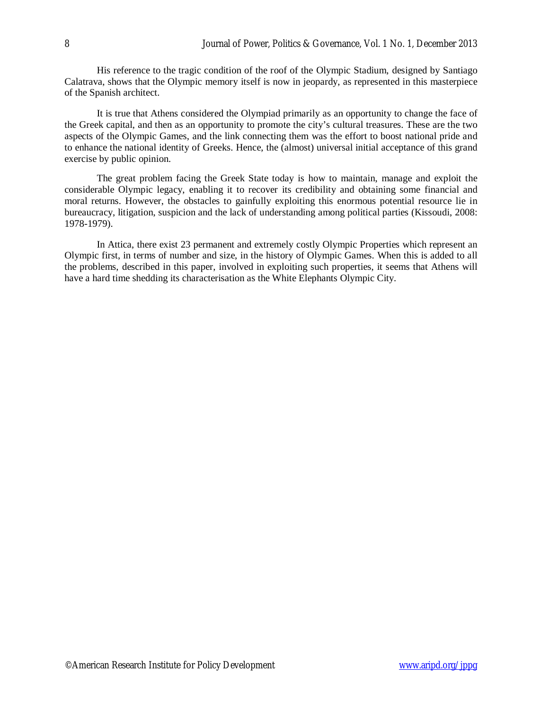His reference to the tragic condition of the roof of the Olympic Stadium, designed by Santiago Calatrava, shows that the Olympic memory itself is now in jeopardy, as represented in this masterpiece of the Spanish architect.

It is true that Athens considered the Olympiad primarily as an opportunity to change the face of the Greek capital, and then as an opportunity to promote the city's cultural treasures. These are the two aspects of the Olympic Games, and the link connecting them was the effort to boost national pride and to enhance the national identity of Greeks. Hence, the (almost) universal initial acceptance of this grand exercise by public opinion.

The great problem facing the Greek State today is how to maintain, manage and exploit the considerable Olympic legacy, enabling it to recover its credibility and obtaining some financial and moral returns. However, the obstacles to gainfully exploiting this enormous potential resource lie in bureaucracy, litigation, suspicion and the lack of understanding among political parties (Kissoudi, 2008: 1978-1979).

In Attica, there exist 23 permanent and extremely costly Olympic Properties which represent an Olympic first, in terms of number and size, in the history of Olympic Games. When this is added to all the problems, described in this paper, involved in exploiting such properties, it seems that Athens will have a hard time shedding its characterisation as the White Elephants Olympic City.